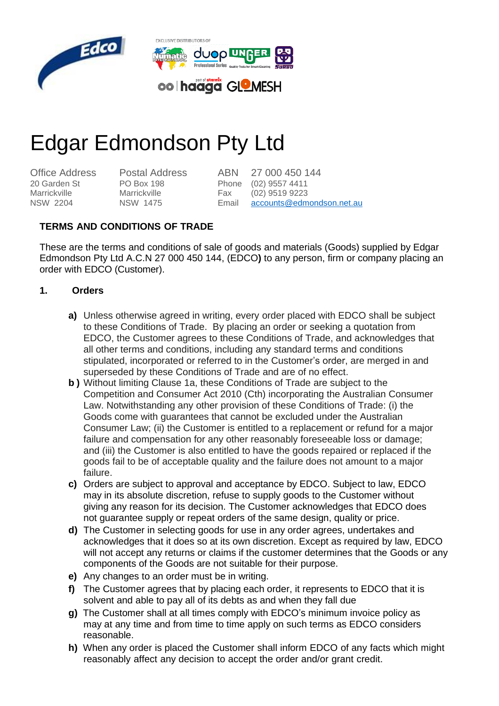

# Edgar Edmondson Pty Ltd

20 Garden St Marrickville NSW 2204

PO Box 198 Marrickville NSW 1475

Office Address Postal Address ABN 27 000 450 144 Phone (02) 9557 4411 Fax (02) 9519 9223 Email [accounts@edmondson.net.au](mailto:accounts@edmondson.net.au)

# **TERMS AND CONDITIONS OF TRADE**

These are the terms and conditions of sale of goods and materials (Goods) supplied by Edgar Edmondson Pty Ltd A.C.N 27 000 450 144, (EDCO**)** to any person, firm or company placing an order with EDCO (Customer).

#### **1. Orders**

- **a)** Unless otherwise agreed in writing, every order placed with EDCO shall be subject to these Conditions of Trade. By placing an order or seeking a quotation from EDCO, the Customer agrees to these Conditions of Trade, and acknowledges that all other terms and conditions, including any standard terms and conditions stipulated, incorporated or referred to in the Customer's order, are merged in and superseded by these Conditions of Trade and are of no effect.
- **b )** Without limiting Clause 1a, these Conditions of Trade are subject to the Competition and Consumer Act 2010 (Cth) incorporating the Australian Consumer Law. Notwithstanding any other provision of these Conditions of Trade: (i) the Goods come with guarantees that cannot be excluded under the Australian Consumer Law; (ii) the Customer is entitled to a replacement or refund for a major failure and compensation for any other reasonably foreseeable loss or damage; and (iii) the Customer is also entitled to have the goods repaired or replaced if the goods fail to be of acceptable quality and the failure does not amount to a major failure.
- **c)** Orders are subject to approval and acceptance by EDCO. Subject to law, EDCO may in its absolute discretion, refuse to supply goods to the Customer without giving any reason for its decision. The Customer acknowledges that EDCO does not guarantee supply or repeat orders of the same design, quality or price.
- **d)** The Customer in selecting goods for use in any order agrees, undertakes and acknowledges that it does so at its own discretion. Except as required by law, EDCO will not accept any returns or claims if the customer determines that the Goods or any components of the Goods are not suitable for their purpose.
- **e)** Any changes to an order must be in writing.
- **f)** The Customer agrees that by placing each order, it represents to EDCO that it is solvent and able to pay all of its debts as and when they fall due
- **g)** The Customer shall at all times comply with EDCO's minimum invoice policy as may at any time and from time to time apply on such terms as EDCO considers reasonable.
- **h)** When any order is placed the Customer shall inform EDCO of any facts which might reasonably affect any decision to accept the order and/or grant credit.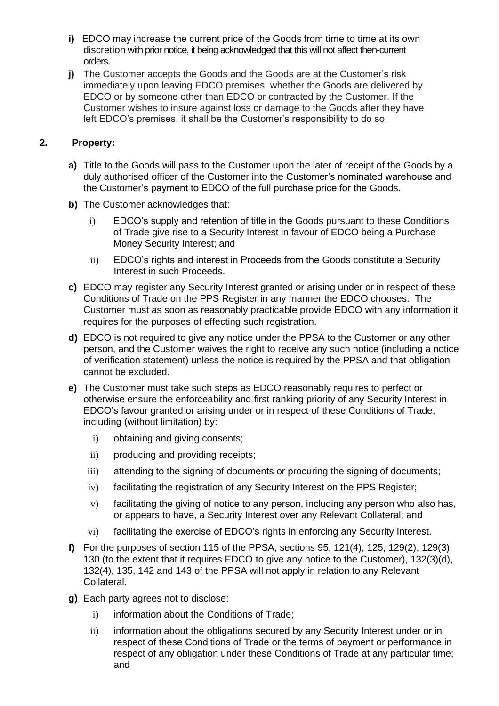- **i)** EDCO may increase the current price of the Goods from time to time at its own discretion with prior notice, it being acknowledged that this will not affect then-current orders.
- **j)** The Customer accepts the Goods and the Goods are at the Customer's risk immediately upon leaving EDCO premises, whether the Goods are delivered by EDCO or by someone other than EDCO or contracted by the Customer. If the Customer wishes to insure against loss or damage to the Goods after they have left EDCO's premises, it shall be the Customer's responsibility to do so.

### **2. Property:**

- **a)** Title to the Goods will pass to the Customer upon the later of receipt of the Goods by a duly authorised officer of the Customer into the Customer's nominated warehouse and the Customer's payment to EDCO of the full purchase price for the Goods.
- **b)** The Customer acknowledges that:
	- i) EDCO's supply and retention of title in the Goods pursuant to these Conditions of Trade give rise to a Security Interest in favour of EDCO being a Purchase Money Security Interest; and
	- ii) EDCO's rights and interest in Proceeds from the Goods constitute a Security Interest in such Proceeds.
- **c)** EDCO may register any Security Interest granted or arising under or in respect of these Conditions of Trade on the PPS Register in any manner the EDCO chooses. The Customer must as soon as reasonably practicable provide EDCO with any information it requires for the purposes of effecting such registration.
- **d)** EDCO is not required to give any notice under the PPSA to the Customer or any other person, and the Customer waives the right to receive any such notice (including a notice of verification statement) unless the notice is required by the PPSA and that obligation cannot be excluded.
- **e)** The Customer must take such steps as EDCO reasonably requires to perfect or otherwise ensure the enforceability and first ranking priority of any Security Interest in EDCO's favour granted or arising under or in respect of these Conditions of Trade, including (without limitation) by:
	- i) obtaining and giving consents;
	- ii) producing and providing receipts;
	- iii) attending to the signing of documents or procuring the signing of documents;
	- iv) facilitating the registration of any Security Interest on the PPS Register;
	- v) facilitating the giving of notice to any person, including any person who also has, or appears to have, a Security Interest over any Relevant Collateral; and
	- vi) facilitating the exercise of EDCO's rights in enforcing any Security Interest.
- **f)** For the purposes of section 115 of the PPSA, sections 95, 121(4), 125, 129(2), 129(3), 130 (to the extent that it requires EDCO to give any notice to the Customer), 132(3)(d), 132(4), 135, 142 and 143 of the PPSA will not apply in relation to any Relevant Collateral.
- **g)** Each party agrees not to disclose:
	- i) information about the Conditions of Trade;
	- ii) information about the obligations secured by any Security Interest under or in respect of these Conditions of Trade or the terms of payment or performance in respect of any obligation under these Conditions of Trade at any particular time; and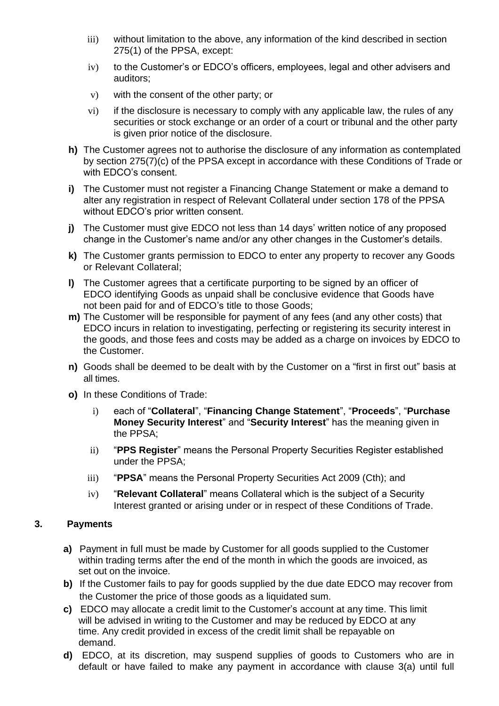- iii) without limitation to the above, any information of the kind described in section 275(1) of the PPSA, except:
- iv) to the Customer's or EDCO's officers, employees, legal and other advisers and auditors;
- v) with the consent of the other party; or
- vi) if the disclosure is necessary to comply with any applicable law, the rules of any securities or stock exchange or an order of a court or tribunal and the other party is given prior notice of the disclosure.
- **h)** The Customer agrees not to authorise the disclosure of any information as contemplated by section 275(7)(c) of the PPSA except in accordance with these Conditions of Trade or with EDCO's consent.
- **i)** The Customer must not register a Financing Change Statement or make a demand to alter any registration in respect of Relevant Collateral under section 178 of the PPSA without EDCO's prior written consent.
- **j)** The Customer must give EDCO not less than 14 days' written notice of any proposed change in the Customer's name and/or any other changes in the Customer's details.
- **k)** The Customer grants permission to EDCO to enter any property to recover any Goods or Relevant Collateral;
- **l)** The Customer agrees that a certificate purporting to be signed by an officer of EDCO identifying Goods as unpaid shall be conclusive evidence that Goods have not been paid for and of EDCO's title to those Goods;
- **m)** The Customer will be responsible for payment of any fees (and any other costs) that EDCO incurs in relation to investigating, perfecting or registering its security interest in the goods, and those fees and costs may be added as a charge on invoices by EDCO to the Customer.
- **n)** Goods shall be deemed to be dealt with by the Customer on a "first in first out" basis at all times.
- **o)** In these Conditions of Trade:
	- i) each of "**Collateral**", "**Financing Change Statement**", "**Proceeds**", "**Purchase Money Security Interest**" and "**Security Interest**" has the meaning given in the PPSA;
	- ii) "**PPS Register**" means the Personal Property Securities Register established under the PPSA;
	- iii) "**PPSA**" means the Personal Property Securities Act 2009 (Cth); and
	- iv) "**Relevant Collateral**" means Collateral which is the subject of a Security Interest granted or arising under or in respect of these Conditions of Trade.

#### **3. Payments**

- **a)** Payment in full must be made by Customer for all goods supplied to the Customer within trading terms after the end of the month in which the goods are invoiced, as set out on the invoice.
- **b)** If the Customer fails to pay for goods supplied by the due date EDCO may recover from the Customer the price of those goods as a liquidated sum.
- **c)** EDCO may allocate a credit limit to the Customer's account at any time. This limit will be advised in writing to the Customer and may be reduced by EDCO at any time. Any credit provided in excess of the credit limit shall be repayable on demand.
- **d)** EDCO, at its discretion, may suspend supplies of goods to Customers who are in default or have failed to make any payment in accordance with clause 3(a) until full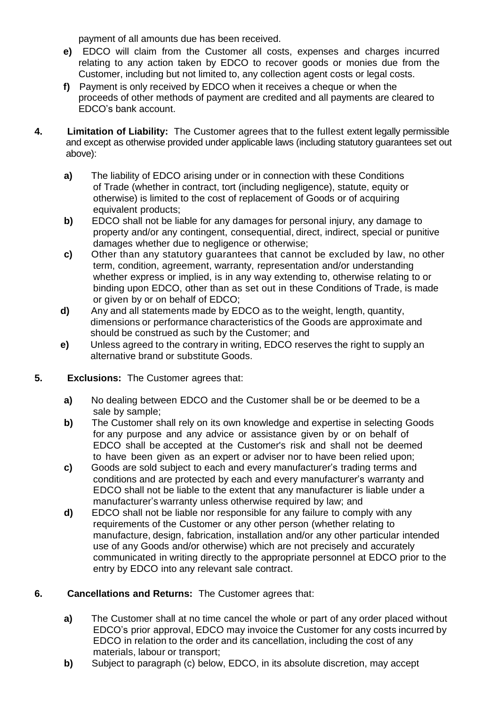payment of all amounts due has been received.

- **e)** EDCO will claim from the Customer all costs, expenses and charges incurred relating to any action taken by EDCO to recover goods or monies due from the Customer, including but not limited to, any collection agent costs or legal costs.
- **f)** Payment is only received by EDCO when it receives a cheque or when the proceeds of other methods of payment are credited and all payments are cleared to EDCO's bank account.
- **4. Limitation of Liability:** The Customer agrees that to the fullest extent legally permissible and except as otherwise provided under applicable laws (including statutory guarantees set out above):
	- **a)** The liability of EDCO arising under or in connection with these Conditions of Trade (whether in contract, tort (including negligence), statute, equity or otherwise) is limited to the cost of replacement of Goods or of acquiring equivalent products;
	- **b)** EDCO shall not be liable for any damages for personal injury, any damage to property and/or any contingent, consequential, direct, indirect, special or punitive damages whether due to negligence or otherwise;
	- **c)** Other than any statutory guarantees that cannot be excluded by law, no other term, condition, agreement, warranty, representation and/or understanding whether express or implied, is in any way extending to, otherwise relating to or binding upon EDCO, other than as set out in these Conditions of Trade, is made or given by or on behalf of EDCO;
	- **d)** Any and all statements made by EDCO as to the weight, length, quantity, dimensions or performance characteristics of the Goods are approximate and should be construed as such by the Customer; and
	- **e)** Unless agreed to the contrary in writing, EDCO reserves the right to supply an alternative brand or substitute Goods.
- **5. Exclusions:** The Customer agrees that:
	- **a)** No dealing between EDCO and the Customer shall be or be deemed to be a sale by sample;
	- **b)** The Customer shall rely on its own knowledge and expertise in selecting Goods for any purpose and any advice or assistance given by or on behalf of EDCO shall be accepted at the Customer's risk and shall not be deemed to have been given as an expert or adviser nor to have been relied upon;
	- **c)** Goods are sold subject to each and every manufacturer's trading terms and conditions and are protected by each and every manufacturer's warranty and EDCO shall not be liable to the extent that any manufacturer is liable under a manufacturer's warranty unless otherwise required by law; and
	- **d)** EDCO shall not be liable nor responsible for any failure to comply with any requirements of the Customer or any other person (whether relating to manufacture, design, fabrication, installation and/or any other particular intended use of any Goods and/or otherwise) which are not precisely and accurately communicated in writing directly to the appropriate personnel at EDCO prior to the entry by EDCO into any relevant sale contract.

# **6. Cancellations and Returns:** The Customer agrees that:

- **a)** The Customer shall at no time cancel the whole or part of any order placed without EDCO's prior approval, EDCO may invoice the Customer for any costs incurred by EDCO in relation to the order and its cancellation, including the cost of any materials, labour or transport;
- **b)** Subject to paragraph (c) below, EDCO, in its absolute discretion, may accept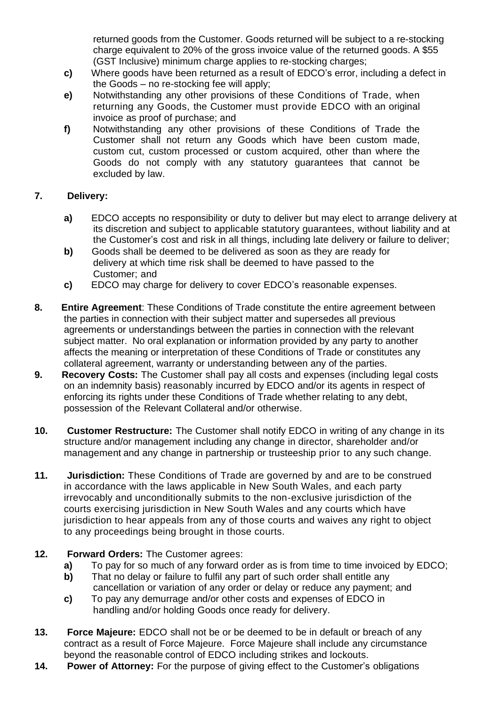returned goods from the Customer. Goods returned will be subject to a re-stocking charge equivalent to 20% of the gross invoice value of the returned goods. A \$55 (GST Inclusive) minimum charge applies to re-stocking charges;

- **c)** Where goods have been returned as a result of EDCO's error, including a defect in the Goods – no re-stocking fee will apply;
- **e)** Notwithstanding any other provisions of these Conditions of Trade, when returning any Goods, the Customer must provide EDCO with an original invoice as proof of purchase; and
- **f)** Notwithstanding any other provisions of these Conditions of Trade the Customer shall not return any Goods which have been custom made, custom cut, custom processed or custom acquired, other than where the Goods do not comply with any statutory guarantees that cannot be excluded by law.

#### **7. Delivery:**

- **a)** EDCO accepts no responsibility or duty to deliver but may elect to arrange delivery at its discretion and subject to applicable statutory guarantees, without liability and at the Customer's cost and risk in all things, including late delivery or failure to deliver;
- **b)** Goods shall be deemed to be delivered as soon as they are ready for delivery at which time risk shall be deemed to have passed to the Customer; and
- **c)** EDCO may charge for delivery to cover EDCO's reasonable expenses.
- **8. Entire Agreement**: These Conditions of Trade constitute the entire agreement between the parties in connection with their subject matter and supersedes all previous agreements or understandings between the parties in connection with the relevant subject matter. No oral explanation or information provided by any party to another affects the meaning or interpretation of these Conditions of Trade or constitutes any collateral agreement, warranty or understanding between any of the parties.
- **9. Recovery Costs:** The Customer shall pay all costs and expenses (including legal costs on an indemnity basis) reasonably incurred by EDCO and/or its agents in respect of enforcing its rights under these Conditions of Trade whether relating to any debt, possession of the Relevant Collateral and/or otherwise.
- **10. Customer Restructure:** The Customer shall notify EDCO in writing of any change in its structure and/or management including any change in director, shareholder and/or management and any change in partnership or trusteeship prior to any such change.
- **11. Jurisdiction:** These Conditions of Trade are governed by and are to be construed in accordance with the laws applicable in New South Wales, and each party irrevocably and unconditionally submits to the non‑exclusive jurisdiction of the courts exercising jurisdiction in New South Wales and any courts which have jurisdiction to hear appeals from any of those courts and waives any right to object to any proceedings being brought in those courts.
- **12. Forward Orders:** The Customer agrees:
	- **a)** To pay for so much of any forward order as is from time to time invoiced by EDCO;
	- **b)** That no delay or failure to fulfil any part of such order shall entitle any cancellation or variation of any order or delay or reduce any payment; and
	- **c)** To pay any demurrage and/or other costs and expenses of EDCO in handling and/or holding Goods once ready for delivery.
- **13. Force Majeure:** EDCO shall not be or be deemed to be in default or breach of any contract as a result of Force Majeure. Force Majeure shall include any circumstance beyond the reasonable control of EDCO including strikes and lockouts.
- **14. Power of Attorney:** For the purpose of giving effect to the Customer's obligations